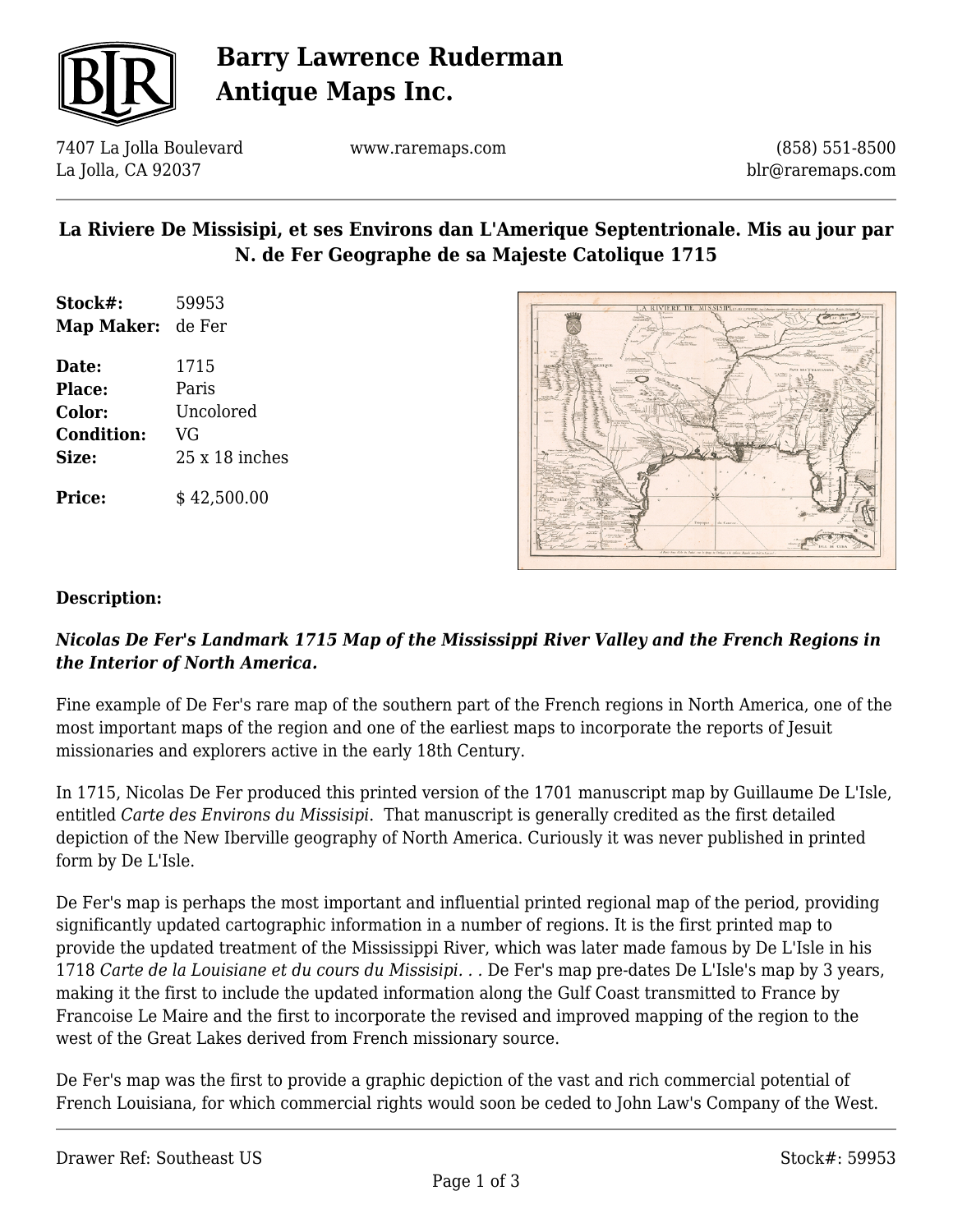

# **Barry Lawrence Ruderman Antique Maps Inc.**

7407 La Jolla Boulevard La Jolla, CA 92037

www.raremaps.com

(858) 551-8500 blr@raremaps.com

## **La Riviere De Missisipi, et ses Environs dan L'Amerique Septentrionale. Mis au jour par N. de Fer Geographe de sa Majeste Catolique 1715**

| Stock#:           | 59953          |
|-------------------|----------------|
| Map Maker:        | de Fer         |
| Date:             | 1715           |
| Place:            | Paris          |
| <b>Color:</b>     | Uncolored      |
| <b>Condition:</b> | VG             |
| Size:             | $25x18$ inches |
|                   |                |

**Price:**  $$42,500.00$ 



#### **Description:**

### *Nicolas De Fer's Landmark 1715 Map of the Mississippi River Valley and the French Regions in the Interior of North America.*

Fine example of De Fer's rare map of the southern part of the French regions in North America, one of the most important maps of the region and one of the earliest maps to incorporate the reports of Jesuit missionaries and explorers active in the early 18th Century.

In 1715, Nicolas De Fer produced this printed version of the 1701 manuscript map by Guillaume De L'Isle, entitled *Carte des Environs du Missisipi*. That manuscript is generally credited as the first detailed depiction of the New Iberville geography of North America. Curiously it was never published in printed form by De L'Isle.

De Fer's map is perhaps the most important and influential printed regional map of the period, providing significantly updated cartographic information in a number of regions. It is the first printed map to provide the updated treatment of the Mississippi River, which was later made famous by De L'Isle in his 1718 *Carte de la Louisiane et du cours du Missisipi. . .* De Fer's map pre-dates De L'Isle's map by 3 years, making it the first to include the updated information along the Gulf Coast transmitted to France by Francoise Le Maire and the first to incorporate the revised and improved mapping of the region to the west of the Great Lakes derived from French missionary source.

De Fer's map was the first to provide a graphic depiction of the vast and rich commercial potential of French Louisiana, for which commercial rights would soon be ceded to John Law's Company of the West.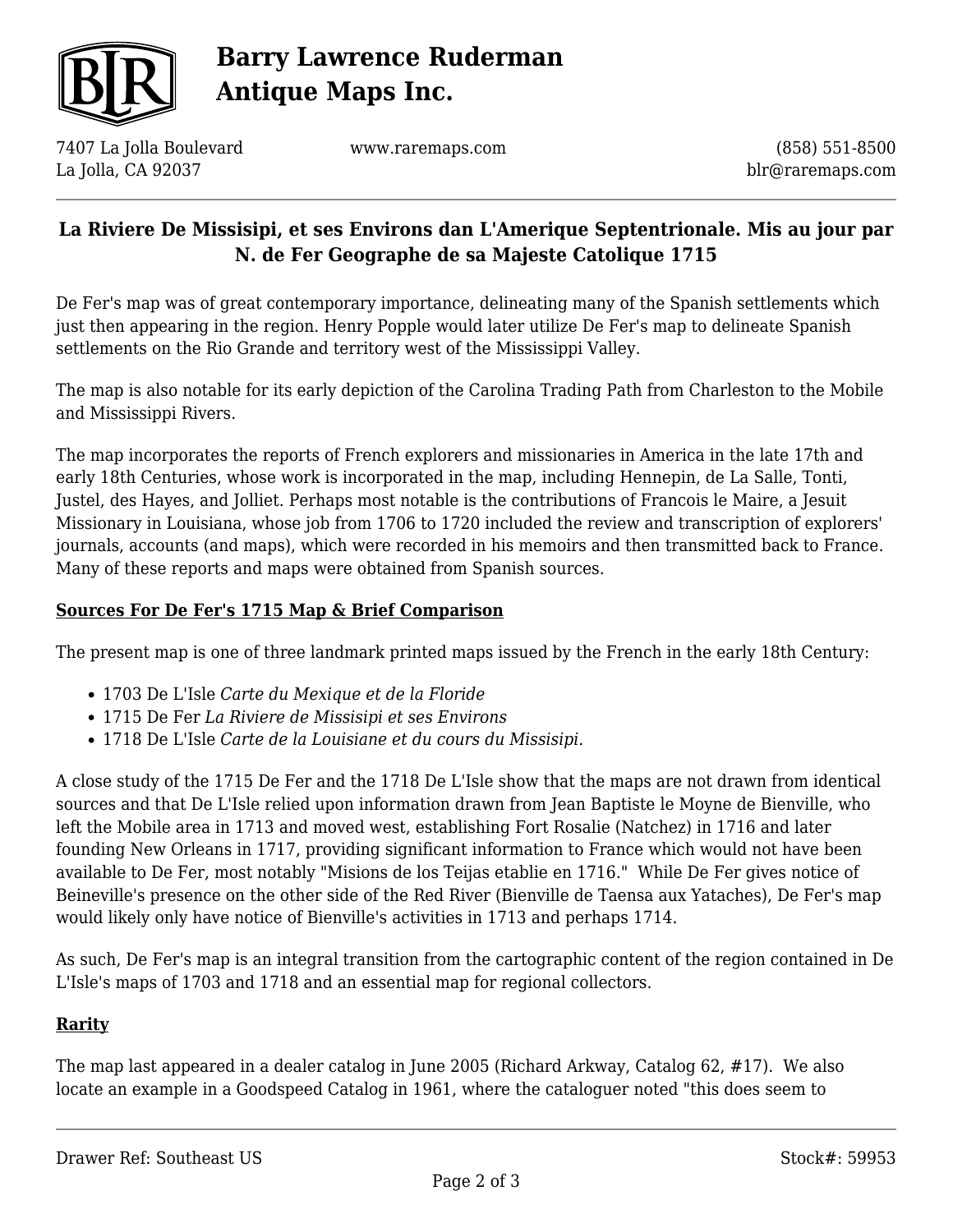

# **Barry Lawrence Ruderman Antique Maps Inc.**

7407 La Jolla Boulevard La Jolla, CA 92037

www.raremaps.com

(858) 551-8500 blr@raremaps.com

## **La Riviere De Missisipi, et ses Environs dan L'Amerique Septentrionale. Mis au jour par N. de Fer Geographe de sa Majeste Catolique 1715**

De Fer's map was of great contemporary importance, delineating many of the Spanish settlements which just then appearing in the region. Henry Popple would later utilize De Fer's map to delineate Spanish settlements on the Rio Grande and territory west of the Mississippi Valley.

The map is also notable for its early depiction of the Carolina Trading Path from Charleston to the Mobile and Mississippi Rivers.

The map incorporates the reports of French explorers and missionaries in America in the late 17th and early 18th Centuries, whose work is incorporated in the map, including Hennepin, de La Salle, Tonti, Justel, des Hayes, and Jolliet. Perhaps most notable is the contributions of Francois le Maire, a Jesuit Missionary in Louisiana, whose job from 1706 to 1720 included the review and transcription of explorers' journals, accounts (and maps), which were recorded in his memoirs and then transmitted back to France. Many of these reports and maps were obtained from Spanish sources.

#### **Sources For De Fer's 1715 Map & Brief Comparison**

The present map is one of three landmark printed maps issued by the French in the early 18th Century:

- 1703 De L'Isle *Carte du Mexique et de la Floride*
- 1715 De Fer *La Riviere de Missisipi et ses Environs*
- 1718 De L'Isle *Carte de la Louisiane et du cours du Missisipi.*

A close study of the 1715 De Fer and the 1718 De L'Isle show that the maps are not drawn from identical sources and that De L'Isle relied upon information drawn from Jean Baptiste le Moyne de Bienville, who left the Mobile area in 1713 and moved west, establishing Fort Rosalie (Natchez) in 1716 and later founding New Orleans in 1717, providing significant information to France which would not have been available to De Fer, most notably "Misions de los Teijas etablie en 1716." While De Fer gives notice of Beineville's presence on the other side of the Red River (Bienville de Taensa aux Yataches), De Fer's map would likely only have notice of Bienville's activities in 1713 and perhaps 1714.

As such, De Fer's map is an integral transition from the cartographic content of the region contained in De L'Isle's maps of 1703 and 1718 and an essential map for regional collectors.

#### **Rarity**

The map last appeared in a dealer catalog in June 2005 (Richard Arkway, Catalog 62, #17). We also locate an example in a Goodspeed Catalog in 1961, where the cataloguer noted "this does seem to